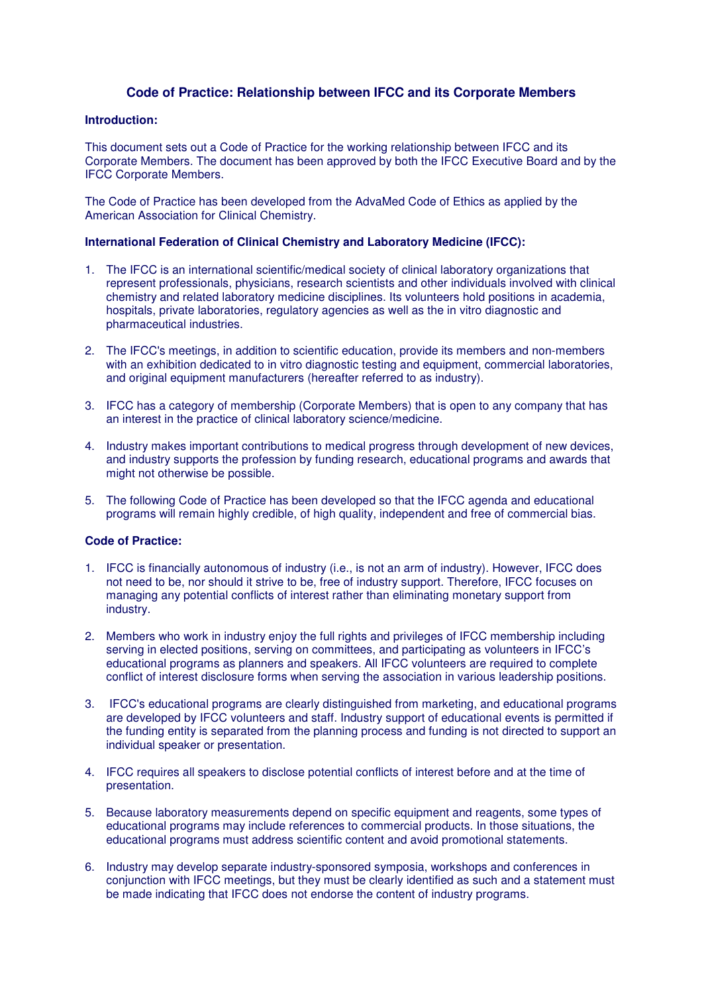## **Code of Practice: Relationship between IFCC and its Corporate Members**

## **Introduction:**

This document sets out a Code of Practice for the working relationship between IFCC and its Corporate Members. The document has been approved by both the IFCC Executive Board and by the IFCC Corporate Members.

The Code of Practice has been developed from the AdvaMed Code of Ethics as applied by the American Association for Clinical Chemistry.

## **International Federation of Clinical Chemistry and Laboratory Medicine (IFCC):**

- 1. The IFCC is an international scientific/medical society of clinical laboratory organizations that represent professionals, physicians, research scientists and other individuals involved with clinical chemistry and related laboratory medicine disciplines. Its volunteers hold positions in academia, hospitals, private laboratories, regulatory agencies as well as the in vitro diagnostic and pharmaceutical industries.
- 2. The IFCC's meetings, in addition to scientific education, provide its members and non-members with an exhibition dedicated to in vitro diagnostic testing and equipment, commercial laboratories, and original equipment manufacturers (hereafter referred to as industry).
- 3. IFCC has a category of membership (Corporate Members) that is open to any company that has an interest in the practice of clinical laboratory science/medicine.
- 4. Industry makes important contributions to medical progress through development of new devices, and industry supports the profession by funding research, educational programs and awards that might not otherwise be possible.
- 5. The following Code of Practice has been developed so that the IFCC agenda and educational programs will remain highly credible, of high quality, independent and free of commercial bias.

## **Code of Practice:**

- 1. IFCC is financially autonomous of industry (i.e., is not an arm of industry). However, IFCC does not need to be, nor should it strive to be, free of industry support. Therefore, IFCC focuses on managing any potential conflicts of interest rather than eliminating monetary support from industry.
- 2. Members who work in industry enjoy the full rights and privileges of IFCC membership including serving in elected positions, serving on committees, and participating as volunteers in IFCC's educational programs as planners and speakers. All IFCC volunteers are required to complete conflict of interest disclosure forms when serving the association in various leadership positions.
- 3. IFCC's educational programs are clearly distinguished from marketing, and educational programs are developed by IFCC volunteers and staff. Industry support of educational events is permitted if the funding entity is separated from the planning process and funding is not directed to support an individual speaker or presentation.
- 4. IFCC requires all speakers to disclose potential conflicts of interest before and at the time of presentation.
- 5. Because laboratory measurements depend on specific equipment and reagents, some types of educational programs may include references to commercial products. In those situations, the educational programs must address scientific content and avoid promotional statements.
- 6. Industry may develop separate industry-sponsored symposia, workshops and conferences in conjunction with IFCC meetings, but they must be clearly identified as such and a statement must be made indicating that IFCC does not endorse the content of industry programs.